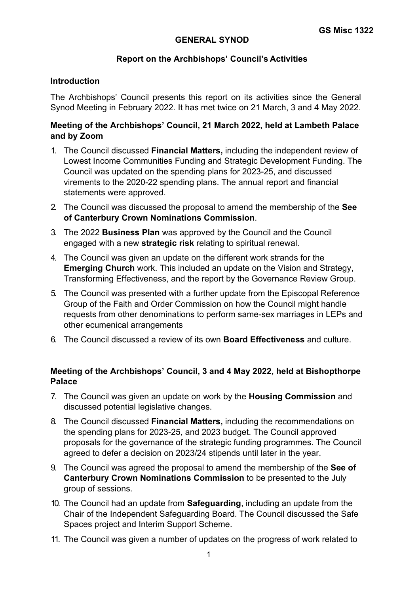## **GENERAL SYNOD**

## **Report on the Archbishops' Council's Activities**

#### **Introduction**

The Archbishops' Council presents this report on its activities since the General Synod Meeting in February 2022. It has met twice on 21 March, 3 and 4 May 2022.

# **Meeting of the Archbishops' Council, 21 March 2022, held at Lambeth Palace and by Zoom**

- 1. The Council discussed **Financial Matters,** including the independent review of Lowest Income Communities Funding and Strategic Development Funding. The Council was updated on the spending plans for 2023-25, and discussed virements to the 2020-22 spending plans. The annual report and financial statements were approved.
- 2. The Council was discussed the proposal to amend the membership of the **See of Canterbury Crown Nominations Commission**.
- 3. The 2022 **Business Plan** was approved by the Council and the Council engaged with a new **strategic risk** relating to spiritual renewal.
- 4. The Council was given an update on the different work strands for the **Emerging Church** work. This included an update on the Vision and Strategy, Transforming Effectiveness, and the report by the Governance Review Group.
- 5. The Council was presented with a further update from the Episcopal Reference Group of the Faith and Order Commission on how the Council might handle requests from other denominations to perform same-sex marriages in LEPs and other ecumenical arrangements
- 6. The Council discussed a review of its own **Board Effectiveness** and culture.

# **Meeting of the Archbishops' Council, 3 and 4 May 2022, held at Bishopthorpe Palace**

- 7. The Council was given an update on work by the **Housing Commission** and discussed potential legislative changes.
- 8. The Council discussed **Financial Matters,** including the recommendations on the spending plans for 2023-25, and 2023 budget. The Council approved proposals for the governance of the strategic funding programmes. The Council agreed to defer a decision on 2023/24 stipends until later in the year.
- 9. The Council was agreed the proposal to amend the membership of the **See of Canterbury Crown Nominations Commission** to be presented to the July group of sessions.
- 10. The Council had an update from **Safeguarding**, including an update from the Chair of the Independent Safeguarding Board. The Council discussed the Safe Spaces project and Interim Support Scheme.
- 11. The Council was given a number of updates on the progress of work related to